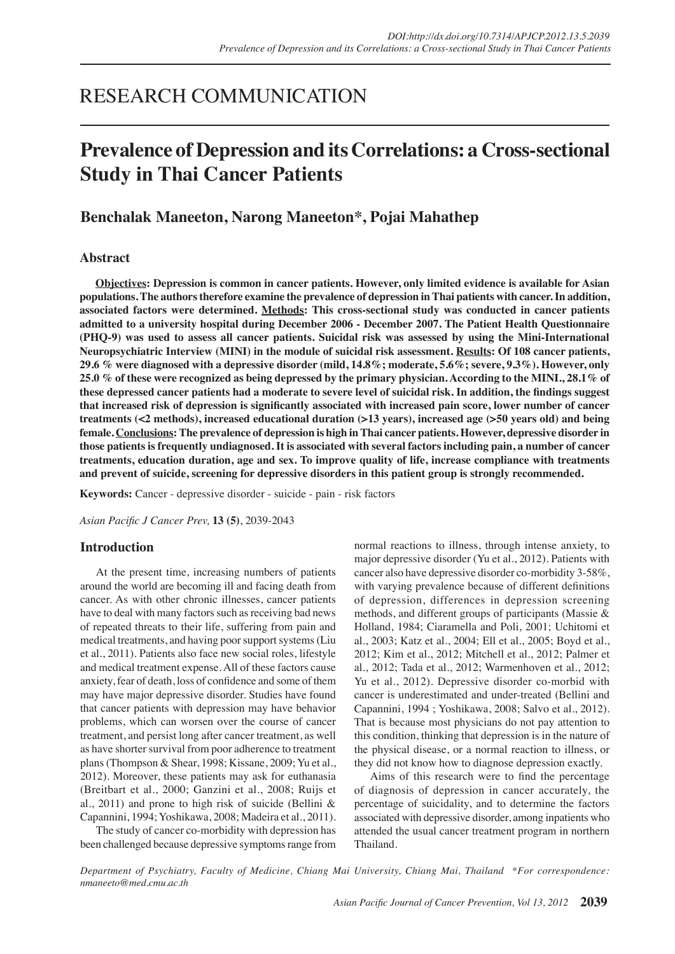# RESEARCH COMMUNICATION

# **Prevalence of Depression and its Correlations: a Cross-sectional Study in Thai Cancer Patients**

# **Benchalak Maneeton, Narong Maneeton\*, Pojai Mahathep**

# **Abstract**

**Objectives: Depression is common in cancer patients. However, only limited evidence is available for Asian populations. The authors therefore examine the prevalence of depression in Thai patients with cancer. In addition, associated factors were determined. Methods: This cross-sectional study was conducted in cancer patients admitted to a university hospital during December 2006 - December 2007. The Patient Health Questionnaire (PHQ-9) was used to assess all cancer patients. Suicidal risk was assessed by using the Mini-International Neuropsychiatric Interview (MINI) in the module of suicidal risk assessment. Results: Of 108 cancer patients, 29.6 % were diagnosed with a depressive disorder (mild, 14.8%; moderate, 5.6%; severe, 9.3%). However, only 25.0 % of these were recognized as being depressed by the primary physician. According to the MINI., 28.1% of these depressed cancer patients had a moderate to severe level of suicidal risk. In addition, the findings suggest that increased risk of depression is significantly associated with increased pain score, lower number of cancer treatments (<2 methods), increased educational duration (>13 years), increased age (>50 years old) and being female. Conclusions: The prevalence of depression is high in Thai cancer patients. However, depressive disorder in those patients is frequently undiagnosed. It is associated with several factors including pain, a number of cancer treatments, education duration, age and sex. To improve quality of life, increase compliance with treatments and prevent of suicide, screening for depressive disorders in this patient group is strongly recommended.**

**Keywords:** Cancer - depressive disorder - suicide - pain - risk factors

*Asian Pacific J Cancer Prev,* **13 (5)**, 2039-2043

# **Introduction**

At the present time, increasing numbers of patients around the world are becoming ill and facing death from cancer. As with other chronic illnesses, cancer patients have to deal with many factors such as receiving bad news of repeated threats to their life, suffering from pain and medical treatments, and having poor support systems (Liu et al., 2011). Patients also face new social roles, lifestyle and medical treatment expense. All of these factors cause anxiety, fear of death, loss of confidence and some of them may have major depressive disorder. Studies have found that cancer patients with depression may have behavior problems, which can worsen over the course of cancer treatment, and persist long after cancer treatment, as well as have shorter survival from poor adherence to treatment plans (Thompson & Shear, 1998; Kissane, 2009; Yu et al., 2012). Moreover, these patients may ask for euthanasia (Breitbart et al., 2000; Ganzini et al., 2008; Ruijs et al., 2011) and prone to high risk of suicide (Bellini & Capannini, 1994; Yoshikawa, 2008; Madeira et al., 2011).

The study of cancer co-morbidity with depression has been challenged because depressive symptoms range from normal reactions to illness, through intense anxiety, to major depressive disorder (Yu et al., 2012). Patients with cancer also have depressive disorder co-morbidity 3-58%, with varying prevalence because of different definitions of depression, differences in depression screening methods, and different groups of participants (Massie & Holland, 1984; Ciaramella and Poli, 2001; Uchitomi et al., 2003; Katz et al., 2004; Ell et al., 2005; Boyd et al., 2012; Kim et al., 2012; Mitchell et al., 2012; Palmer et al., 2012; Tada et al., 2012; Warmenhoven et al., 2012; Yu et al., 2012). Depressive disorder co-morbid with cancer is underestimated and under-treated (Bellini and Capannini, 1994 ; Yoshikawa, 2008; Salvo et al., 2012). That is because most physicians do not pay attention to this condition, thinking that depression is in the nature of the physical disease, or a normal reaction to illness, or they did not know how to diagnose depression exactly.

Aims of this research were to find the percentage of diagnosis of depression in cancer accurately, the percentage of suicidality, and to determine the factors associated with depressive disorder, among inpatients who attended the usual cancer treatment program in northern Thailand.

*Department of Psychiatry, Faculty of Medicine, Chiang Mai University, Chiang Mai, Thailand \*For correspondence: nmaneeto@med.cmu.ac.th*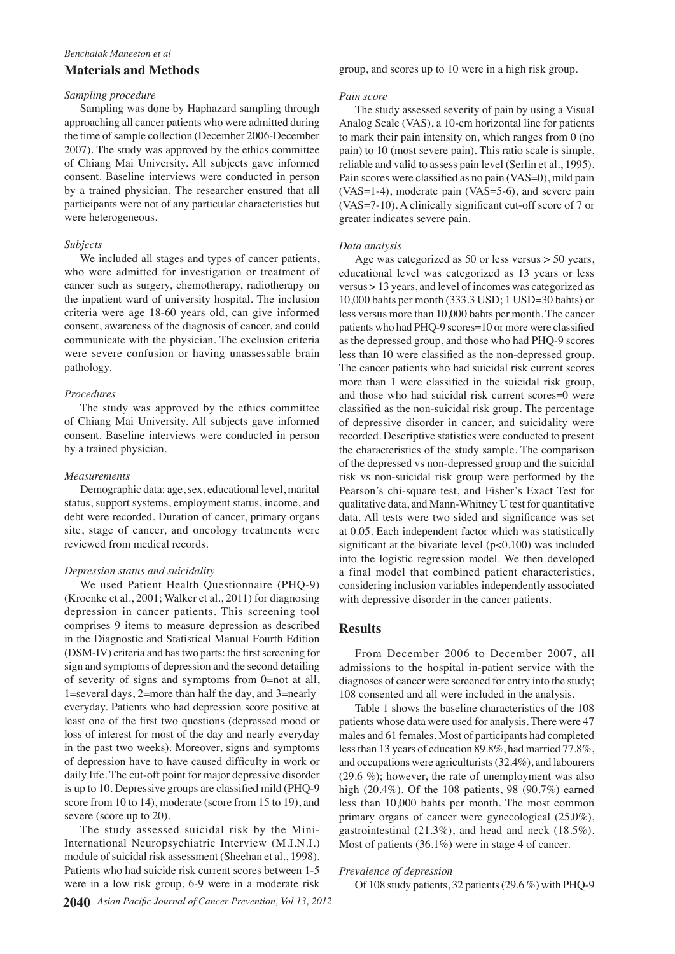# *Benchalak Maneeton et al*

# **Materials and Methods**

# *Sampling procedure*

Sampling was done by Haphazard sampling through approaching all cancer patients who were admitted during the time of sample collection (December 2006-December 2007). The study was approved by the ethics committee of Chiang Mai University. All subjects gave informed consent. Baseline interviews were conducted in person by a trained physician. The researcher ensured that all participants were not of any particular characteristics but were heterogeneous.

## *Subjects*

We included all stages and types of cancer patients, who were admitted for investigation or treatment of cancer such as surgery, chemotherapy, radiotherapy on the inpatient ward of university hospital. The inclusion criteria were age 18-60 years old, can give informed consent, awareness of the diagnosis of cancer, and could communicate with the physician. The exclusion criteria were severe confusion or having unassessable brain pathology.

## *Procedures*

The study was approved by the ethics committee of Chiang Mai University. All subjects gave informed consent. Baseline interviews were conducted in person by a trained physician.

## *Measurements*

Demographic data: age, sex, educational level, marital status, support systems, employment status, income, and debt were recorded. Duration of cancer, primary organs site, stage of cancer, and oncology treatments were reviewed from medical records.

#### *Depression status and suicidality*

We used Patient Health Questionnaire (PHQ-9) (Kroenke et al., 2001; Walker et al., 2011) for diagnosing depression in cancer patients. This screening tool comprises 9 items to measure depression as described in the Diagnostic and Statistical Manual Fourth Edition (DSM-IV) criteria and has two parts: the first screening for sign and symptoms of depression and the second detailing of severity of signs and symptoms from 0=not at all, 1=several days, 2=more than half the day, and 3=nearly everyday. Patients who had depression score positive at least one of the first two questions (depressed mood or loss of interest for most of the day and nearly everyday in the past two weeks). Moreover, signs and symptoms of depression have to have caused difficulty in work or daily life. The cut-off point for major depressive disorder is up to 10. Depressive groups are classified mild (PHQ-9 score from 10 to 14), moderate (score from 15 to 19), and severe (score up to 20).

The study assessed suicidal risk by the Mini-International Neuropsychiatric Interview (M.I.N.I.) module of suicidal risk assessment (Sheehan et al., 1998). Patients who had suicide risk current scores between 1-5 were in a low risk group, 6-9 were in a moderate risk

group, and scores up to 10 were in a high risk group.

#### *Pain score*

The study assessed severity of pain by using a Visual Analog Scale (VAS), a 10-cm horizontal line for patients to mark their pain intensity on, which ranges from 0 (no pain) to 10 (most severe pain). This ratio scale is simple, reliable and valid to assess pain level (Serlin et al., 1995). Pain scores were classified as no pain (VAS=0), mild pain (VAS=1-4), moderate pain (VAS=5-6), and severe pain (VAS=7-10). A clinically significant cut-off score of 7 or greater indicates severe pain.

#### *Data analysis*

Age was categorized as 50 or less versus > 50 years, educational level was categorized as 13 years or less versus > 13 years, and level of incomes was categorized as 10,000 bahts per month (333.3 USD; 1 USD=30 bahts) or less versus more than 10,000 bahts per month. The cancer patients who had PHQ-9 scores=10 or more were classified as the depressed group, and those who had PHQ-9 scores less than 10 were classified as the non-depressed group. The cancer patients who had suicidal risk current scores more than 1 were classified in the suicidal risk group, and those who had suicidal risk current scores=0 were classified as the non-suicidal risk group. The percentage of depressive disorder in cancer, and suicidality were recorded. Descriptive statistics were conducted to present the characteristics of the study sample. The comparison of the depressed vs non-depressed group and the suicidal risk vs non-suicidal risk group were performed by the Pearson's chi-square test, and Fisher's Exact Test for qualitative data, and Mann-Whitney U test for quantitative data. All tests were two sided and significance was set at 0.05. Each independent factor which was statistically significant at the bivariate level  $(p<0.100)$  was included into the logistic regression model. We then developed a final model that combined patient characteristics, considering inclusion variables independently associated with depressive disorder in the cancer patients.

## **Results**

From December 2006 to December 2007, all admissions to the hospital in-patient service with the diagnoses of cancer were screened for entry into the study; 108 consented and all were included in the analysis.

Table 1 shows the baseline characteristics of the 108 patients whose data were used for analysis. There were 47 males and 61 females. Most of participants had completed less than 13 years of education 89.8%, had married 77.8%, and occupations were agriculturists (32.4%), and labourers (29.6 %); however, the rate of unemployment was also high (20.4%). Of the 108 patients, 98 (90.7%) earned less than 10,000 bahts per month. The most common primary organs of cancer were gynecological (25.0%), gastrointestinal (21.3%), and head and neck (18.5%). Most of patients (36.1%) were in stage 4 of cancer.

## *Prevalence of depression*

Of 108 study patients, 32 patients (29.6 %) with PHQ-9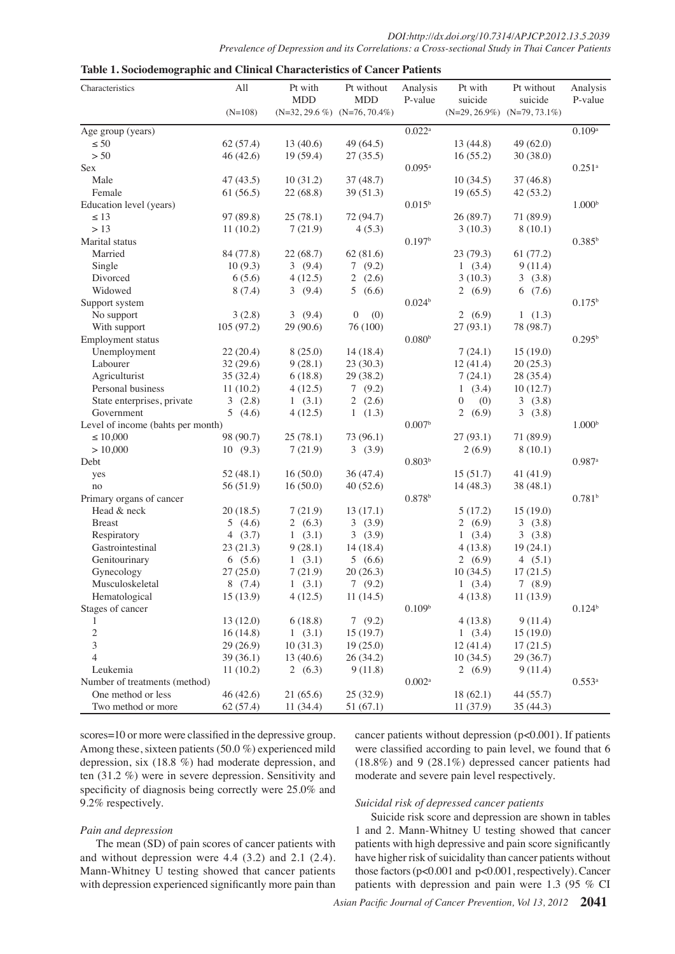| $(N=108)$<br>$(N=32, 29.6\%)$ $(N=76, 70.4\%)$<br>$(N=29, 26.9\%)$ $(N=79, 73.1\%)$<br>$0.022^a$<br>0.109a<br>13(40.6)<br>$\leq 50$<br>62(57.4)<br>49 (64.5)<br>13(44.8)<br>49 (62.0)<br>$> 50$<br>46(42.6)<br>19(59.4)<br>27(35.5)<br>16(55.2)<br>30(38.0)<br>$0.095^{\rm a}$<br>$0.251$ <sup>a</sup><br>10(31.2)<br>Male<br>47(43.5)<br>37(48.7)<br>10(34.5)<br>37(46.8)<br>Female<br>61(56.5)<br>22(68.8)<br>39(51.3)<br>19(65.5)<br>42(53.2)<br>100.0<br>$0.015^{\rm b}$<br>1.000 <sup>b</sup><br>Education level (years)<br>$10.\overline{10}^{20}$ (89.7)<br>71 (89.9)<br>$\leq 13$<br>97 (89.8)<br>25(78.1)<br>72 (94.7)<br>6.3<br>(10.390.3)<br>>13<br>7(21.9)<br>4(5.3)<br>8(10.1)<br>11(10.2)<br>0.197 <sup>b</sup><br>$0.385^{b}$<br>7569(81.6)<br>61(7529)<br>22(68.7)<br>Married<br>84 (77.8)<br>23<br>(79.3)<br>10(9.3)<br>3(9.4)<br>7(9.2)<br>9(11.4)<br>Single<br>(3.4)<br>46.83(10.3)<br>6(5.6)<br>2<br>3<br>Divorced<br>4(12.5)<br>(2.6)<br>(3.8)<br>56.3<br>Widowed<br>8(7.4)<br>3(9.4)<br>$^{.9}$ 54.2<br>6<br>$50.\overline{0}$<br>(6.6)<br>(7.6)<br>(6)<br>0.024 <sup>b</sup><br>0.175 <sup>b</sup><br>31.3<br>(6.9)<br>3(2.8)<br>3(9.4)<br>$\overline{0}$<br>$\mathbf{1}$<br>(1.3)<br>No support<br>(0)<br>$\overline{27}$<br>105(97.2)<br>(93.1)<br>78 (98.7)<br>29(90.6)<br>76 (100)<br>With support<br>0.080 <sup>b</sup><br>$0.295^{\rm b}$<br>$25.0$ <sub>18.4</sub> )<br>8(25.0)<br>15(19.0)<br>Unemployment<br>22(20.4)<br>(24.1)<br>38.0<br>$23(30.3)$ 31.3<br>20 (25133)<br>Labourer<br>9(28.1)<br>32(29.6)<br>$\frac{(41.4)}{23.7}$<br>29(38.2)<br>28(35.4)<br>Agriculturist<br>35(32.4)<br>6(18.8)<br>(24)<br>12.7)<br>Personal business<br>11(10.2)<br>4(12.5)<br>$\oint_{2}^{(9.2)}$ (2.6)<br>10 I<br>(2.6)<br>3<br>State enterprises, private<br>3(2.8)<br>1(3.1)<br>$\Omega$<br>(32)<br>(0)<br>$\begin{array}{c} 0 \quad (0) \\ \text{Euler} \\ \text{Euler} \\ 27 \quad (93.1) \\ \text{Euler} \end{array}$<br>without treatment<br>Midtout treatment<br>Midtout<br>$(3\frac{5}{9})$<br>3<br>Government<br>5(4.6)<br>4(12.5)<br>1(1.3)<br>Level of income (bahts per month)<br>1.000 <sup>b</sup><br>Έ<br>$71(89\bar{2})$<br>$\leq 10,000$<br>98 (90.7)<br>25(78.1)<br>73 (96.1)<br>>10,000<br>7(21.9)<br>10(9.3)<br>3(3.9)<br>$2(6.9)$ දි<br>with<br>8(10.1)<br>$\frac{1}{2}$<br>$\frac{1}{2}$<br>$\frac{1}{2}$<br>$\frac{1}{2}$<br>$\frac{1}{2}$<br>$\frac{1}{2}$<br>$\frac{1}{2}$<br>$\frac{1}{2}$<br>$\frac{1}{2}$<br>$\frac{1}{2}$<br>$\frac{1}{2}$<br>$\frac{1}{2}$<br>$\frac{1}{2}$<br>$\frac{1}{2}$<br>$\frac{1}{2}$<br>$\frac{1}{2}$<br>$\frac{1}{2}$<br>$\frac{1}{2}$<br>$\frac{1}{2}$<br>$\frac{1}{2}$<br><br>$0.987$ <sup>a</sup><br>52(48.1)<br>16(50.0)<br>36(47.4)<br>41(41.9)<br>yes<br>$\frac{1}{2}$<br>$\frac{1}{2}$<br>$\frac{1}{2}$<br>$\frac{1}{2}$<br>$\frac{1}{2}$<br>$\frac{1}{2}$<br>$\frac{1}{2}$<br>$\frac{1}{2}$<br>$\frac{1}{2}$<br>$\frac{1}{2}$<br>$\frac{1}{2}$<br>$\frac{1}{2}$<br>$\frac{1}{2}$<br>$\frac{1}{2}$<br>$\frac{1}{2}$<br>$\frac{1}{2}$<br>$\frac{1}{2}$<br>$\frac{1}{2}$<br>56 (51.9)<br>16(50.0)<br>40(52.6)<br>38(48.1)<br>no<br>0.781 <sup>b</sup><br>Head & neck<br>20(18.5)<br>7(21.9)<br>13(17.1)<br>15(19.0)<br><b>Breast</b><br>5(4.6)<br>2 $(6.3)$<br>3(3.9)<br>3(3.8)<br>Newly<br>4 $(3.7)$<br>1(3.1)<br>3(3.9)<br>(3.4)<br>3(3.8)<br>Respiratory<br>9(28.1)<br>Gastrointestinal<br>14 (18.4)<br>4(13.8)<br>23(21.3)<br>19(24.1)<br>Genitourinary<br>6(5.6)<br>1(3.1)<br>5(6.6)<br>2(6.9)<br>4 $(5.1)$<br>27(25.0)<br>7(21.9)<br>20(26.3)<br>10(34.5)<br>17(21.5)<br>Gynecology<br>Musculoskeletal<br>8(7.4)<br>1(3.1)<br>7(9.2)<br>1(3.4)<br>7(8.9)<br>Hematological<br>15(13.9)<br>4(12.5)<br>4(13.8)<br>11(14.5)<br>11(13.9)<br>0.109 <sup>b</sup><br>$0.124^{b}$<br>6(18.8)<br>7(9.2)<br>9(11.4)<br>13(12.0)<br>4(13.8)<br>$\overline{c}$<br>1(3.1)<br>15(19.7)<br>16(14.8)<br>1(3.4)<br>15(19.0)<br>$\overline{3}$<br>29(26.9)<br>10(31.3)<br>19(25.0)<br>12(41.4)<br>17(21.5)<br>$\overline{4}$<br>$26 \frac{(24.2)}{2}$<br>39(36.1)<br>13(40.6)<br>10(34.5)<br>29(36.7)<br>2(6,9)<br>12.8<br>$\text{km}$ 10.1<br>11(10.2)<br>2 $(6,3)$<br>9<br>9(11.4)<br>20.3<br>10.3<br>$0.553^{\rm a}$<br> d)<br>er of<br>ents<br>44 (55.7)<br>21 (65)<br>$\frac{25}{51}$<br>less<br>.1)<br>me<br>.6)<br>25.0<br>30.0<br>11 (34<br>.4)<br>9)<br>35 (44.3)<br>me<br>mo<br>75.0<br>46.8<br>s1.1 patients withous depression (p<0.001). If patients<br>$scores = 10$ or more were classified in the depressive group.<br>Among these, sixteen54:2 ents (59.9%) experienced mild<br>were classified according to pain level, we found that 6<br>depression, six $(18.8\%)$ had moderate depression, and<br>$(18.8\%)$ and 9 (28.1%) depressed cancer patients had<br>ten $(31.2\%)$ were in severe depression. Sensitivity and<br>moderate and severe pain level respectively. | Characteristics          | All | Pt with<br><b>MDD</b> | Pt without<br><b>MDD</b> | Analysis<br>P-value | Pt with<br>suicide | Pt without<br>suicide | Analysis<br>P-value |
|---------------------------------------------------------------------------------------------------------------------------------------------------------------------------------------------------------------------------------------------------------------------------------------------------------------------------------------------------------------------------------------------------------------------------------------------------------------------------------------------------------------------------------------------------------------------------------------------------------------------------------------------------------------------------------------------------------------------------------------------------------------------------------------------------------------------------------------------------------------------------------------------------------------------------------------------------------------------------------------------------------------------------------------------------------------------------------------------------------------------------------------------------------------------------------------------------------------------------------------------------------------------------------------------------------------------------------------------------------------------------------------------------------------------------------------------------------------------------------------------------------------------------------------------------------------------------------------------------------------------------------------------------------------------------------------------------------------------------------------------------------------------------------------------------------------------------------------------------------------------------------------------------------------------------------------------------------------------------------------------------------------------------------------------------------------------------------------------------------------------------------------------------------------------------------------------------------------------------------------------------------------------------------------------------------------------------------------------------------------------------------------------------------------------------------------------------------------------------------------------------------------------------------------------------------------------------------------------------------------------------------------------------------------------------------------------------------------------------------------------------------------------------------------------------------------------------------------------------------------------------------------------------------------------------------------------------------------------------------------------------------------------------------------------------------------------------------------------------------------------------------------------------------------------------------------------------------------------------------------------------------------------------------------------------------------------------------------------------------------------------------------------------------------------------------------------------------------------------------------------------------------------------------------------------------------------------------------------------------------------------------------------------------------------------------------------------------------------------------------------------------------------------------------------------------------------------------------------------------------------------------------------------------------------------------------------------------------------------------------------------------------------------------------------------------------------------------------------------------------------------------------------------------------------------------------------------------------------------------------------------------------------------------------------------------------------------------------------------------------------------------------------------------------------------------------------------------------------------------------------------------------------------------------------------------------------------------------------------------------------------------------------------------------------------------------------------------------------------------------------------------------------------------------------------------------------------------------------------------------------|--------------------------|-----|-----------------------|--------------------------|---------------------|--------------------|-----------------------|---------------------|
|                                                                                                                                                                                                                                                                                                                                                                                                                                                                                                                                                                                                                                                                                                                                                                                                                                                                                                                                                                                                                                                                                                                                                                                                                                                                                                                                                                                                                                                                                                                                                                                                                                                                                                                                                                                                                                                                                                                                                                                                                                                                                                                                                                                                                                                                                                                                                                                                                                                                                                                                                                                                                                                                                                                                                                                                                                                                                                                                                                                                                                                                                                                                                                                                                                                                                                                                                                                                                                                                                                                                                                                                                                                                                                                                                                                                                                                                                                                                                                                                                                                                                                                                                                                                                                                                                                                                                                                                                                                                                                                                                                                                                                                                                                                                                                                                                                                                     |                          |     |                       |                          |                     |                    |                       |                     |
|                                                                                                                                                                                                                                                                                                                                                                                                                                                                                                                                                                                                                                                                                                                                                                                                                                                                                                                                                                                                                                                                                                                                                                                                                                                                                                                                                                                                                                                                                                                                                                                                                                                                                                                                                                                                                                                                                                                                                                                                                                                                                                                                                                                                                                                                                                                                                                                                                                                                                                                                                                                                                                                                                                                                                                                                                                                                                                                                                                                                                                                                                                                                                                                                                                                                                                                                                                                                                                                                                                                                                                                                                                                                                                                                                                                                                                                                                                                                                                                                                                                                                                                                                                                                                                                                                                                                                                                                                                                                                                                                                                                                                                                                                                                                                                                                                                                                     | Age group (years)        |     |                       |                          |                     |                    |                       |                     |
|                                                                                                                                                                                                                                                                                                                                                                                                                                                                                                                                                                                                                                                                                                                                                                                                                                                                                                                                                                                                                                                                                                                                                                                                                                                                                                                                                                                                                                                                                                                                                                                                                                                                                                                                                                                                                                                                                                                                                                                                                                                                                                                                                                                                                                                                                                                                                                                                                                                                                                                                                                                                                                                                                                                                                                                                                                                                                                                                                                                                                                                                                                                                                                                                                                                                                                                                                                                                                                                                                                                                                                                                                                                                                                                                                                                                                                                                                                                                                                                                                                                                                                                                                                                                                                                                                                                                                                                                                                                                                                                                                                                                                                                                                                                                                                                                                                                                     |                          |     |                       |                          |                     |                    |                       |                     |
|                                                                                                                                                                                                                                                                                                                                                                                                                                                                                                                                                                                                                                                                                                                                                                                                                                                                                                                                                                                                                                                                                                                                                                                                                                                                                                                                                                                                                                                                                                                                                                                                                                                                                                                                                                                                                                                                                                                                                                                                                                                                                                                                                                                                                                                                                                                                                                                                                                                                                                                                                                                                                                                                                                                                                                                                                                                                                                                                                                                                                                                                                                                                                                                                                                                                                                                                                                                                                                                                                                                                                                                                                                                                                                                                                                                                                                                                                                                                                                                                                                                                                                                                                                                                                                                                                                                                                                                                                                                                                                                                                                                                                                                                                                                                                                                                                                                                     |                          |     |                       |                          |                     |                    |                       |                     |
|                                                                                                                                                                                                                                                                                                                                                                                                                                                                                                                                                                                                                                                                                                                                                                                                                                                                                                                                                                                                                                                                                                                                                                                                                                                                                                                                                                                                                                                                                                                                                                                                                                                                                                                                                                                                                                                                                                                                                                                                                                                                                                                                                                                                                                                                                                                                                                                                                                                                                                                                                                                                                                                                                                                                                                                                                                                                                                                                                                                                                                                                                                                                                                                                                                                                                                                                                                                                                                                                                                                                                                                                                                                                                                                                                                                                                                                                                                                                                                                                                                                                                                                                                                                                                                                                                                                                                                                                                                                                                                                                                                                                                                                                                                                                                                                                                                                                     | Sex                      |     |                       |                          |                     |                    |                       |                     |
|                                                                                                                                                                                                                                                                                                                                                                                                                                                                                                                                                                                                                                                                                                                                                                                                                                                                                                                                                                                                                                                                                                                                                                                                                                                                                                                                                                                                                                                                                                                                                                                                                                                                                                                                                                                                                                                                                                                                                                                                                                                                                                                                                                                                                                                                                                                                                                                                                                                                                                                                                                                                                                                                                                                                                                                                                                                                                                                                                                                                                                                                                                                                                                                                                                                                                                                                                                                                                                                                                                                                                                                                                                                                                                                                                                                                                                                                                                                                                                                                                                                                                                                                                                                                                                                                                                                                                                                                                                                                                                                                                                                                                                                                                                                                                                                                                                                                     |                          |     |                       |                          |                     |                    |                       |                     |
|                                                                                                                                                                                                                                                                                                                                                                                                                                                                                                                                                                                                                                                                                                                                                                                                                                                                                                                                                                                                                                                                                                                                                                                                                                                                                                                                                                                                                                                                                                                                                                                                                                                                                                                                                                                                                                                                                                                                                                                                                                                                                                                                                                                                                                                                                                                                                                                                                                                                                                                                                                                                                                                                                                                                                                                                                                                                                                                                                                                                                                                                                                                                                                                                                                                                                                                                                                                                                                                                                                                                                                                                                                                                                                                                                                                                                                                                                                                                                                                                                                                                                                                                                                                                                                                                                                                                                                                                                                                                                                                                                                                                                                                                                                                                                                                                                                                                     |                          |     |                       |                          |                     |                    |                       |                     |
|                                                                                                                                                                                                                                                                                                                                                                                                                                                                                                                                                                                                                                                                                                                                                                                                                                                                                                                                                                                                                                                                                                                                                                                                                                                                                                                                                                                                                                                                                                                                                                                                                                                                                                                                                                                                                                                                                                                                                                                                                                                                                                                                                                                                                                                                                                                                                                                                                                                                                                                                                                                                                                                                                                                                                                                                                                                                                                                                                                                                                                                                                                                                                                                                                                                                                                                                                                                                                                                                                                                                                                                                                                                                                                                                                                                                                                                                                                                                                                                                                                                                                                                                                                                                                                                                                                                                                                                                                                                                                                                                                                                                                                                                                                                                                                                                                                                                     |                          |     |                       |                          |                     |                    |                       |                     |
|                                                                                                                                                                                                                                                                                                                                                                                                                                                                                                                                                                                                                                                                                                                                                                                                                                                                                                                                                                                                                                                                                                                                                                                                                                                                                                                                                                                                                                                                                                                                                                                                                                                                                                                                                                                                                                                                                                                                                                                                                                                                                                                                                                                                                                                                                                                                                                                                                                                                                                                                                                                                                                                                                                                                                                                                                                                                                                                                                                                                                                                                                                                                                                                                                                                                                                                                                                                                                                                                                                                                                                                                                                                                                                                                                                                                                                                                                                                                                                                                                                                                                                                                                                                                                                                                                                                                                                                                                                                                                                                                                                                                                                                                                                                                                                                                                                                                     |                          |     |                       |                          |                     |                    |                       |                     |
|                                                                                                                                                                                                                                                                                                                                                                                                                                                                                                                                                                                                                                                                                                                                                                                                                                                                                                                                                                                                                                                                                                                                                                                                                                                                                                                                                                                                                                                                                                                                                                                                                                                                                                                                                                                                                                                                                                                                                                                                                                                                                                                                                                                                                                                                                                                                                                                                                                                                                                                                                                                                                                                                                                                                                                                                                                                                                                                                                                                                                                                                                                                                                                                                                                                                                                                                                                                                                                                                                                                                                                                                                                                                                                                                                                                                                                                                                                                                                                                                                                                                                                                                                                                                                                                                                                                                                                                                                                                                                                                                                                                                                                                                                                                                                                                                                                                                     |                          |     |                       |                          |                     |                    |                       |                     |
|                                                                                                                                                                                                                                                                                                                                                                                                                                                                                                                                                                                                                                                                                                                                                                                                                                                                                                                                                                                                                                                                                                                                                                                                                                                                                                                                                                                                                                                                                                                                                                                                                                                                                                                                                                                                                                                                                                                                                                                                                                                                                                                                                                                                                                                                                                                                                                                                                                                                                                                                                                                                                                                                                                                                                                                                                                                                                                                                                                                                                                                                                                                                                                                                                                                                                                                                                                                                                                                                                                                                                                                                                                                                                                                                                                                                                                                                                                                                                                                                                                                                                                                                                                                                                                                                                                                                                                                                                                                                                                                                                                                                                                                                                                                                                                                                                                                                     | Marital status           |     |                       |                          |                     |                    |                       |                     |
|                                                                                                                                                                                                                                                                                                                                                                                                                                                                                                                                                                                                                                                                                                                                                                                                                                                                                                                                                                                                                                                                                                                                                                                                                                                                                                                                                                                                                                                                                                                                                                                                                                                                                                                                                                                                                                                                                                                                                                                                                                                                                                                                                                                                                                                                                                                                                                                                                                                                                                                                                                                                                                                                                                                                                                                                                                                                                                                                                                                                                                                                                                                                                                                                                                                                                                                                                                                                                                                                                                                                                                                                                                                                                                                                                                                                                                                                                                                                                                                                                                                                                                                                                                                                                                                                                                                                                                                                                                                                                                                                                                                                                                                                                                                                                                                                                                                                     |                          |     |                       |                          |                     |                    |                       |                     |
|                                                                                                                                                                                                                                                                                                                                                                                                                                                                                                                                                                                                                                                                                                                                                                                                                                                                                                                                                                                                                                                                                                                                                                                                                                                                                                                                                                                                                                                                                                                                                                                                                                                                                                                                                                                                                                                                                                                                                                                                                                                                                                                                                                                                                                                                                                                                                                                                                                                                                                                                                                                                                                                                                                                                                                                                                                                                                                                                                                                                                                                                                                                                                                                                                                                                                                                                                                                                                                                                                                                                                                                                                                                                                                                                                                                                                                                                                                                                                                                                                                                                                                                                                                                                                                                                                                                                                                                                                                                                                                                                                                                                                                                                                                                                                                                                                                                                     |                          |     |                       |                          |                     |                    |                       |                     |
|                                                                                                                                                                                                                                                                                                                                                                                                                                                                                                                                                                                                                                                                                                                                                                                                                                                                                                                                                                                                                                                                                                                                                                                                                                                                                                                                                                                                                                                                                                                                                                                                                                                                                                                                                                                                                                                                                                                                                                                                                                                                                                                                                                                                                                                                                                                                                                                                                                                                                                                                                                                                                                                                                                                                                                                                                                                                                                                                                                                                                                                                                                                                                                                                                                                                                                                                                                                                                                                                                                                                                                                                                                                                                                                                                                                                                                                                                                                                                                                                                                                                                                                                                                                                                                                                                                                                                                                                                                                                                                                                                                                                                                                                                                                                                                                                                                                                     |                          |     |                       |                          |                     |                    |                       |                     |
|                                                                                                                                                                                                                                                                                                                                                                                                                                                                                                                                                                                                                                                                                                                                                                                                                                                                                                                                                                                                                                                                                                                                                                                                                                                                                                                                                                                                                                                                                                                                                                                                                                                                                                                                                                                                                                                                                                                                                                                                                                                                                                                                                                                                                                                                                                                                                                                                                                                                                                                                                                                                                                                                                                                                                                                                                                                                                                                                                                                                                                                                                                                                                                                                                                                                                                                                                                                                                                                                                                                                                                                                                                                                                                                                                                                                                                                                                                                                                                                                                                                                                                                                                                                                                                                                                                                                                                                                                                                                                                                                                                                                                                                                                                                                                                                                                                                                     |                          |     |                       |                          |                     |                    |                       |                     |
|                                                                                                                                                                                                                                                                                                                                                                                                                                                                                                                                                                                                                                                                                                                                                                                                                                                                                                                                                                                                                                                                                                                                                                                                                                                                                                                                                                                                                                                                                                                                                                                                                                                                                                                                                                                                                                                                                                                                                                                                                                                                                                                                                                                                                                                                                                                                                                                                                                                                                                                                                                                                                                                                                                                                                                                                                                                                                                                                                                                                                                                                                                                                                                                                                                                                                                                                                                                                                                                                                                                                                                                                                                                                                                                                                                                                                                                                                                                                                                                                                                                                                                                                                                                                                                                                                                                                                                                                                                                                                                                                                                                                                                                                                                                                                                                                                                                                     | Support system           |     |                       |                          |                     |                    |                       |                     |
|                                                                                                                                                                                                                                                                                                                                                                                                                                                                                                                                                                                                                                                                                                                                                                                                                                                                                                                                                                                                                                                                                                                                                                                                                                                                                                                                                                                                                                                                                                                                                                                                                                                                                                                                                                                                                                                                                                                                                                                                                                                                                                                                                                                                                                                                                                                                                                                                                                                                                                                                                                                                                                                                                                                                                                                                                                                                                                                                                                                                                                                                                                                                                                                                                                                                                                                                                                                                                                                                                                                                                                                                                                                                                                                                                                                                                                                                                                                                                                                                                                                                                                                                                                                                                                                                                                                                                                                                                                                                                                                                                                                                                                                                                                                                                                                                                                                                     |                          |     |                       |                          |                     |                    |                       |                     |
|                                                                                                                                                                                                                                                                                                                                                                                                                                                                                                                                                                                                                                                                                                                                                                                                                                                                                                                                                                                                                                                                                                                                                                                                                                                                                                                                                                                                                                                                                                                                                                                                                                                                                                                                                                                                                                                                                                                                                                                                                                                                                                                                                                                                                                                                                                                                                                                                                                                                                                                                                                                                                                                                                                                                                                                                                                                                                                                                                                                                                                                                                                                                                                                                                                                                                                                                                                                                                                                                                                                                                                                                                                                                                                                                                                                                                                                                                                                                                                                                                                                                                                                                                                                                                                                                                                                                                                                                                                                                                                                                                                                                                                                                                                                                                                                                                                                                     |                          |     |                       |                          |                     |                    |                       |                     |
|                                                                                                                                                                                                                                                                                                                                                                                                                                                                                                                                                                                                                                                                                                                                                                                                                                                                                                                                                                                                                                                                                                                                                                                                                                                                                                                                                                                                                                                                                                                                                                                                                                                                                                                                                                                                                                                                                                                                                                                                                                                                                                                                                                                                                                                                                                                                                                                                                                                                                                                                                                                                                                                                                                                                                                                                                                                                                                                                                                                                                                                                                                                                                                                                                                                                                                                                                                                                                                                                                                                                                                                                                                                                                                                                                                                                                                                                                                                                                                                                                                                                                                                                                                                                                                                                                                                                                                                                                                                                                                                                                                                                                                                                                                                                                                                                                                                                     | Employment status        |     |                       |                          |                     |                    |                       |                     |
|                                                                                                                                                                                                                                                                                                                                                                                                                                                                                                                                                                                                                                                                                                                                                                                                                                                                                                                                                                                                                                                                                                                                                                                                                                                                                                                                                                                                                                                                                                                                                                                                                                                                                                                                                                                                                                                                                                                                                                                                                                                                                                                                                                                                                                                                                                                                                                                                                                                                                                                                                                                                                                                                                                                                                                                                                                                                                                                                                                                                                                                                                                                                                                                                                                                                                                                                                                                                                                                                                                                                                                                                                                                                                                                                                                                                                                                                                                                                                                                                                                                                                                                                                                                                                                                                                                                                                                                                                                                                                                                                                                                                                                                                                                                                                                                                                                                                     |                          |     |                       |                          |                     |                    |                       |                     |
|                                                                                                                                                                                                                                                                                                                                                                                                                                                                                                                                                                                                                                                                                                                                                                                                                                                                                                                                                                                                                                                                                                                                                                                                                                                                                                                                                                                                                                                                                                                                                                                                                                                                                                                                                                                                                                                                                                                                                                                                                                                                                                                                                                                                                                                                                                                                                                                                                                                                                                                                                                                                                                                                                                                                                                                                                                                                                                                                                                                                                                                                                                                                                                                                                                                                                                                                                                                                                                                                                                                                                                                                                                                                                                                                                                                                                                                                                                                                                                                                                                                                                                                                                                                                                                                                                                                                                                                                                                                                                                                                                                                                                                                                                                                                                                                                                                                                     |                          |     |                       |                          |                     |                    |                       |                     |
|                                                                                                                                                                                                                                                                                                                                                                                                                                                                                                                                                                                                                                                                                                                                                                                                                                                                                                                                                                                                                                                                                                                                                                                                                                                                                                                                                                                                                                                                                                                                                                                                                                                                                                                                                                                                                                                                                                                                                                                                                                                                                                                                                                                                                                                                                                                                                                                                                                                                                                                                                                                                                                                                                                                                                                                                                                                                                                                                                                                                                                                                                                                                                                                                                                                                                                                                                                                                                                                                                                                                                                                                                                                                                                                                                                                                                                                                                                                                                                                                                                                                                                                                                                                                                                                                                                                                                                                                                                                                                                                                                                                                                                                                                                                                                                                                                                                                     |                          |     |                       |                          |                     |                    |                       |                     |
|                                                                                                                                                                                                                                                                                                                                                                                                                                                                                                                                                                                                                                                                                                                                                                                                                                                                                                                                                                                                                                                                                                                                                                                                                                                                                                                                                                                                                                                                                                                                                                                                                                                                                                                                                                                                                                                                                                                                                                                                                                                                                                                                                                                                                                                                                                                                                                                                                                                                                                                                                                                                                                                                                                                                                                                                                                                                                                                                                                                                                                                                                                                                                                                                                                                                                                                                                                                                                                                                                                                                                                                                                                                                                                                                                                                                                                                                                                                                                                                                                                                                                                                                                                                                                                                                                                                                                                                                                                                                                                                                                                                                                                                                                                                                                                                                                                                                     |                          |     |                       |                          |                     |                    |                       |                     |
|                                                                                                                                                                                                                                                                                                                                                                                                                                                                                                                                                                                                                                                                                                                                                                                                                                                                                                                                                                                                                                                                                                                                                                                                                                                                                                                                                                                                                                                                                                                                                                                                                                                                                                                                                                                                                                                                                                                                                                                                                                                                                                                                                                                                                                                                                                                                                                                                                                                                                                                                                                                                                                                                                                                                                                                                                                                                                                                                                                                                                                                                                                                                                                                                                                                                                                                                                                                                                                                                                                                                                                                                                                                                                                                                                                                                                                                                                                                                                                                                                                                                                                                                                                                                                                                                                                                                                                                                                                                                                                                                                                                                                                                                                                                                                                                                                                                                     |                          |     |                       |                          |                     |                    |                       |                     |
|                                                                                                                                                                                                                                                                                                                                                                                                                                                                                                                                                                                                                                                                                                                                                                                                                                                                                                                                                                                                                                                                                                                                                                                                                                                                                                                                                                                                                                                                                                                                                                                                                                                                                                                                                                                                                                                                                                                                                                                                                                                                                                                                                                                                                                                                                                                                                                                                                                                                                                                                                                                                                                                                                                                                                                                                                                                                                                                                                                                                                                                                                                                                                                                                                                                                                                                                                                                                                                                                                                                                                                                                                                                                                                                                                                                                                                                                                                                                                                                                                                                                                                                                                                                                                                                                                                                                                                                                                                                                                                                                                                                                                                                                                                                                                                                                                                                                     |                          |     |                       |                          |                     |                    |                       |                     |
|                                                                                                                                                                                                                                                                                                                                                                                                                                                                                                                                                                                                                                                                                                                                                                                                                                                                                                                                                                                                                                                                                                                                                                                                                                                                                                                                                                                                                                                                                                                                                                                                                                                                                                                                                                                                                                                                                                                                                                                                                                                                                                                                                                                                                                                                                                                                                                                                                                                                                                                                                                                                                                                                                                                                                                                                                                                                                                                                                                                                                                                                                                                                                                                                                                                                                                                                                                                                                                                                                                                                                                                                                                                                                                                                                                                                                                                                                                                                                                                                                                                                                                                                                                                                                                                                                                                                                                                                                                                                                                                                                                                                                                                                                                                                                                                                                                                                     |                          |     |                       |                          |                     |                    |                       |                     |
|                                                                                                                                                                                                                                                                                                                                                                                                                                                                                                                                                                                                                                                                                                                                                                                                                                                                                                                                                                                                                                                                                                                                                                                                                                                                                                                                                                                                                                                                                                                                                                                                                                                                                                                                                                                                                                                                                                                                                                                                                                                                                                                                                                                                                                                                                                                                                                                                                                                                                                                                                                                                                                                                                                                                                                                                                                                                                                                                                                                                                                                                                                                                                                                                                                                                                                                                                                                                                                                                                                                                                                                                                                                                                                                                                                                                                                                                                                                                                                                                                                                                                                                                                                                                                                                                                                                                                                                                                                                                                                                                                                                                                                                                                                                                                                                                                                                                     |                          |     |                       |                          |                     |                    |                       |                     |
|                                                                                                                                                                                                                                                                                                                                                                                                                                                                                                                                                                                                                                                                                                                                                                                                                                                                                                                                                                                                                                                                                                                                                                                                                                                                                                                                                                                                                                                                                                                                                                                                                                                                                                                                                                                                                                                                                                                                                                                                                                                                                                                                                                                                                                                                                                                                                                                                                                                                                                                                                                                                                                                                                                                                                                                                                                                                                                                                                                                                                                                                                                                                                                                                                                                                                                                                                                                                                                                                                                                                                                                                                                                                                                                                                                                                                                                                                                                                                                                                                                                                                                                                                                                                                                                                                                                                                                                                                                                                                                                                                                                                                                                                                                                                                                                                                                                                     |                          |     |                       |                          |                     |                    |                       |                     |
|                                                                                                                                                                                                                                                                                                                                                                                                                                                                                                                                                                                                                                                                                                                                                                                                                                                                                                                                                                                                                                                                                                                                                                                                                                                                                                                                                                                                                                                                                                                                                                                                                                                                                                                                                                                                                                                                                                                                                                                                                                                                                                                                                                                                                                                                                                                                                                                                                                                                                                                                                                                                                                                                                                                                                                                                                                                                                                                                                                                                                                                                                                                                                                                                                                                                                                                                                                                                                                                                                                                                                                                                                                                                                                                                                                                                                                                                                                                                                                                                                                                                                                                                                                                                                                                                                                                                                                                                                                                                                                                                                                                                                                                                                                                                                                                                                                                                     | Debt                     |     |                       |                          |                     |                    |                       |                     |
|                                                                                                                                                                                                                                                                                                                                                                                                                                                                                                                                                                                                                                                                                                                                                                                                                                                                                                                                                                                                                                                                                                                                                                                                                                                                                                                                                                                                                                                                                                                                                                                                                                                                                                                                                                                                                                                                                                                                                                                                                                                                                                                                                                                                                                                                                                                                                                                                                                                                                                                                                                                                                                                                                                                                                                                                                                                                                                                                                                                                                                                                                                                                                                                                                                                                                                                                                                                                                                                                                                                                                                                                                                                                                                                                                                                                                                                                                                                                                                                                                                                                                                                                                                                                                                                                                                                                                                                                                                                                                                                                                                                                                                                                                                                                                                                                                                                                     |                          |     |                       |                          |                     |                    |                       |                     |
|                                                                                                                                                                                                                                                                                                                                                                                                                                                                                                                                                                                                                                                                                                                                                                                                                                                                                                                                                                                                                                                                                                                                                                                                                                                                                                                                                                                                                                                                                                                                                                                                                                                                                                                                                                                                                                                                                                                                                                                                                                                                                                                                                                                                                                                                                                                                                                                                                                                                                                                                                                                                                                                                                                                                                                                                                                                                                                                                                                                                                                                                                                                                                                                                                                                                                                                                                                                                                                                                                                                                                                                                                                                                                                                                                                                                                                                                                                                                                                                                                                                                                                                                                                                                                                                                                                                                                                                                                                                                                                                                                                                                                                                                                                                                                                                                                                                                     |                          |     |                       |                          |                     |                    |                       |                     |
|                                                                                                                                                                                                                                                                                                                                                                                                                                                                                                                                                                                                                                                                                                                                                                                                                                                                                                                                                                                                                                                                                                                                                                                                                                                                                                                                                                                                                                                                                                                                                                                                                                                                                                                                                                                                                                                                                                                                                                                                                                                                                                                                                                                                                                                                                                                                                                                                                                                                                                                                                                                                                                                                                                                                                                                                                                                                                                                                                                                                                                                                                                                                                                                                                                                                                                                                                                                                                                                                                                                                                                                                                                                                                                                                                                                                                                                                                                                                                                                                                                                                                                                                                                                                                                                                                                                                                                                                                                                                                                                                                                                                                                                                                                                                                                                                                                                                     | Primary organs of cancer |     |                       |                          |                     |                    |                       |                     |
|                                                                                                                                                                                                                                                                                                                                                                                                                                                                                                                                                                                                                                                                                                                                                                                                                                                                                                                                                                                                                                                                                                                                                                                                                                                                                                                                                                                                                                                                                                                                                                                                                                                                                                                                                                                                                                                                                                                                                                                                                                                                                                                                                                                                                                                                                                                                                                                                                                                                                                                                                                                                                                                                                                                                                                                                                                                                                                                                                                                                                                                                                                                                                                                                                                                                                                                                                                                                                                                                                                                                                                                                                                                                                                                                                                                                                                                                                                                                                                                                                                                                                                                                                                                                                                                                                                                                                                                                                                                                                                                                                                                                                                                                                                                                                                                                                                                                     |                          |     |                       |                          |                     |                    |                       |                     |
|                                                                                                                                                                                                                                                                                                                                                                                                                                                                                                                                                                                                                                                                                                                                                                                                                                                                                                                                                                                                                                                                                                                                                                                                                                                                                                                                                                                                                                                                                                                                                                                                                                                                                                                                                                                                                                                                                                                                                                                                                                                                                                                                                                                                                                                                                                                                                                                                                                                                                                                                                                                                                                                                                                                                                                                                                                                                                                                                                                                                                                                                                                                                                                                                                                                                                                                                                                                                                                                                                                                                                                                                                                                                                                                                                                                                                                                                                                                                                                                                                                                                                                                                                                                                                                                                                                                                                                                                                                                                                                                                                                                                                                                                                                                                                                                                                                                                     |                          |     |                       |                          |                     |                    |                       |                     |
|                                                                                                                                                                                                                                                                                                                                                                                                                                                                                                                                                                                                                                                                                                                                                                                                                                                                                                                                                                                                                                                                                                                                                                                                                                                                                                                                                                                                                                                                                                                                                                                                                                                                                                                                                                                                                                                                                                                                                                                                                                                                                                                                                                                                                                                                                                                                                                                                                                                                                                                                                                                                                                                                                                                                                                                                                                                                                                                                                                                                                                                                                                                                                                                                                                                                                                                                                                                                                                                                                                                                                                                                                                                                                                                                                                                                                                                                                                                                                                                                                                                                                                                                                                                                                                                                                                                                                                                                                                                                                                                                                                                                                                                                                                                                                                                                                                                                     |                          |     |                       |                          |                     |                    |                       |                     |
|                                                                                                                                                                                                                                                                                                                                                                                                                                                                                                                                                                                                                                                                                                                                                                                                                                                                                                                                                                                                                                                                                                                                                                                                                                                                                                                                                                                                                                                                                                                                                                                                                                                                                                                                                                                                                                                                                                                                                                                                                                                                                                                                                                                                                                                                                                                                                                                                                                                                                                                                                                                                                                                                                                                                                                                                                                                                                                                                                                                                                                                                                                                                                                                                                                                                                                                                                                                                                                                                                                                                                                                                                                                                                                                                                                                                                                                                                                                                                                                                                                                                                                                                                                                                                                                                                                                                                                                                                                                                                                                                                                                                                                                                                                                                                                                                                                                                     |                          |     |                       |                          |                     |                    |                       |                     |
|                                                                                                                                                                                                                                                                                                                                                                                                                                                                                                                                                                                                                                                                                                                                                                                                                                                                                                                                                                                                                                                                                                                                                                                                                                                                                                                                                                                                                                                                                                                                                                                                                                                                                                                                                                                                                                                                                                                                                                                                                                                                                                                                                                                                                                                                                                                                                                                                                                                                                                                                                                                                                                                                                                                                                                                                                                                                                                                                                                                                                                                                                                                                                                                                                                                                                                                                                                                                                                                                                                                                                                                                                                                                                                                                                                                                                                                                                                                                                                                                                                                                                                                                                                                                                                                                                                                                                                                                                                                                                                                                                                                                                                                                                                                                                                                                                                                                     |                          |     |                       |                          |                     |                    |                       |                     |
|                                                                                                                                                                                                                                                                                                                                                                                                                                                                                                                                                                                                                                                                                                                                                                                                                                                                                                                                                                                                                                                                                                                                                                                                                                                                                                                                                                                                                                                                                                                                                                                                                                                                                                                                                                                                                                                                                                                                                                                                                                                                                                                                                                                                                                                                                                                                                                                                                                                                                                                                                                                                                                                                                                                                                                                                                                                                                                                                                                                                                                                                                                                                                                                                                                                                                                                                                                                                                                                                                                                                                                                                                                                                                                                                                                                                                                                                                                                                                                                                                                                                                                                                                                                                                                                                                                                                                                                                                                                                                                                                                                                                                                                                                                                                                                                                                                                                     |                          |     |                       |                          |                     |                    |                       |                     |
|                                                                                                                                                                                                                                                                                                                                                                                                                                                                                                                                                                                                                                                                                                                                                                                                                                                                                                                                                                                                                                                                                                                                                                                                                                                                                                                                                                                                                                                                                                                                                                                                                                                                                                                                                                                                                                                                                                                                                                                                                                                                                                                                                                                                                                                                                                                                                                                                                                                                                                                                                                                                                                                                                                                                                                                                                                                                                                                                                                                                                                                                                                                                                                                                                                                                                                                                                                                                                                                                                                                                                                                                                                                                                                                                                                                                                                                                                                                                                                                                                                                                                                                                                                                                                                                                                                                                                                                                                                                                                                                                                                                                                                                                                                                                                                                                                                                                     |                          |     |                       |                          |                     |                    |                       |                     |
|                                                                                                                                                                                                                                                                                                                                                                                                                                                                                                                                                                                                                                                                                                                                                                                                                                                                                                                                                                                                                                                                                                                                                                                                                                                                                                                                                                                                                                                                                                                                                                                                                                                                                                                                                                                                                                                                                                                                                                                                                                                                                                                                                                                                                                                                                                                                                                                                                                                                                                                                                                                                                                                                                                                                                                                                                                                                                                                                                                                                                                                                                                                                                                                                                                                                                                                                                                                                                                                                                                                                                                                                                                                                                                                                                                                                                                                                                                                                                                                                                                                                                                                                                                                                                                                                                                                                                                                                                                                                                                                                                                                                                                                                                                                                                                                                                                                                     |                          |     |                       |                          |                     |                    |                       |                     |
|                                                                                                                                                                                                                                                                                                                                                                                                                                                                                                                                                                                                                                                                                                                                                                                                                                                                                                                                                                                                                                                                                                                                                                                                                                                                                                                                                                                                                                                                                                                                                                                                                                                                                                                                                                                                                                                                                                                                                                                                                                                                                                                                                                                                                                                                                                                                                                                                                                                                                                                                                                                                                                                                                                                                                                                                                                                                                                                                                                                                                                                                                                                                                                                                                                                                                                                                                                                                                                                                                                                                                                                                                                                                                                                                                                                                                                                                                                                                                                                                                                                                                                                                                                                                                                                                                                                                                                                                                                                                                                                                                                                                                                                                                                                                                                                                                                                                     | Stages of cancer         |     |                       |                          |                     |                    |                       |                     |
|                                                                                                                                                                                                                                                                                                                                                                                                                                                                                                                                                                                                                                                                                                                                                                                                                                                                                                                                                                                                                                                                                                                                                                                                                                                                                                                                                                                                                                                                                                                                                                                                                                                                                                                                                                                                                                                                                                                                                                                                                                                                                                                                                                                                                                                                                                                                                                                                                                                                                                                                                                                                                                                                                                                                                                                                                                                                                                                                                                                                                                                                                                                                                                                                                                                                                                                                                                                                                                                                                                                                                                                                                                                                                                                                                                                                                                                                                                                                                                                                                                                                                                                                                                                                                                                                                                                                                                                                                                                                                                                                                                                                                                                                                                                                                                                                                                                                     |                          |     |                       |                          |                     |                    |                       |                     |
|                                                                                                                                                                                                                                                                                                                                                                                                                                                                                                                                                                                                                                                                                                                                                                                                                                                                                                                                                                                                                                                                                                                                                                                                                                                                                                                                                                                                                                                                                                                                                                                                                                                                                                                                                                                                                                                                                                                                                                                                                                                                                                                                                                                                                                                                                                                                                                                                                                                                                                                                                                                                                                                                                                                                                                                                                                                                                                                                                                                                                                                                                                                                                                                                                                                                                                                                                                                                                                                                                                                                                                                                                                                                                                                                                                                                                                                                                                                                                                                                                                                                                                                                                                                                                                                                                                                                                                                                                                                                                                                                                                                                                                                                                                                                                                                                                                                                     |                          |     |                       |                          |                     |                    |                       |                     |
|                                                                                                                                                                                                                                                                                                                                                                                                                                                                                                                                                                                                                                                                                                                                                                                                                                                                                                                                                                                                                                                                                                                                                                                                                                                                                                                                                                                                                                                                                                                                                                                                                                                                                                                                                                                                                                                                                                                                                                                                                                                                                                                                                                                                                                                                                                                                                                                                                                                                                                                                                                                                                                                                                                                                                                                                                                                                                                                                                                                                                                                                                                                                                                                                                                                                                                                                                                                                                                                                                                                                                                                                                                                                                                                                                                                                                                                                                                                                                                                                                                                                                                                                                                                                                                                                                                                                                                                                                                                                                                                                                                                                                                                                                                                                                                                                                                                                     |                          |     |                       |                          |                     |                    |                       |                     |
|                                                                                                                                                                                                                                                                                                                                                                                                                                                                                                                                                                                                                                                                                                                                                                                                                                                                                                                                                                                                                                                                                                                                                                                                                                                                                                                                                                                                                                                                                                                                                                                                                                                                                                                                                                                                                                                                                                                                                                                                                                                                                                                                                                                                                                                                                                                                                                                                                                                                                                                                                                                                                                                                                                                                                                                                                                                                                                                                                                                                                                                                                                                                                                                                                                                                                                                                                                                                                                                                                                                                                                                                                                                                                                                                                                                                                                                                                                                                                                                                                                                                                                                                                                                                                                                                                                                                                                                                                                                                                                                                                                                                                                                                                                                                                                                                                                                                     |                          |     |                       |                          |                     |                    |                       |                     |
|                                                                                                                                                                                                                                                                                                                                                                                                                                                                                                                                                                                                                                                                                                                                                                                                                                                                                                                                                                                                                                                                                                                                                                                                                                                                                                                                                                                                                                                                                                                                                                                                                                                                                                                                                                                                                                                                                                                                                                                                                                                                                                                                                                                                                                                                                                                                                                                                                                                                                                                                                                                                                                                                                                                                                                                                                                                                                                                                                                                                                                                                                                                                                                                                                                                                                                                                                                                                                                                                                                                                                                                                                                                                                                                                                                                                                                                                                                                                                                                                                                                                                                                                                                                                                                                                                                                                                                                                                                                                                                                                                                                                                                                                                                                                                                                                                                                                     | 6.3                      |     |                       |                          |                     |                    |                       |                     |
|                                                                                                                                                                                                                                                                                                                                                                                                                                                                                                                                                                                                                                                                                                                                                                                                                                                                                                                                                                                                                                                                                                                                                                                                                                                                                                                                                                                                                                                                                                                                                                                                                                                                                                                                                                                                                                                                                                                                                                                                                                                                                                                                                                                                                                                                                                                                                                                                                                                                                                                                                                                                                                                                                                                                                                                                                                                                                                                                                                                                                                                                                                                                                                                                                                                                                                                                                                                                                                                                                                                                                                                                                                                                                                                                                                                                                                                                                                                                                                                                                                                                                                                                                                                                                                                                                                                                                                                                                                                                                                                                                                                                                                                                                                                                                                                                                                                                     |                          |     |                       |                          |                     |                    |                       |                     |
|                                                                                                                                                                                                                                                                                                                                                                                                                                                                                                                                                                                                                                                                                                                                                                                                                                                                                                                                                                                                                                                                                                                                                                                                                                                                                                                                                                                                                                                                                                                                                                                                                                                                                                                                                                                                                                                                                                                                                                                                                                                                                                                                                                                                                                                                                                                                                                                                                                                                                                                                                                                                                                                                                                                                                                                                                                                                                                                                                                                                                                                                                                                                                                                                                                                                                                                                                                                                                                                                                                                                                                                                                                                                                                                                                                                                                                                                                                                                                                                                                                                                                                                                                                                                                                                                                                                                                                                                                                                                                                                                                                                                                                                                                                                                                                                                                                                                     |                          |     |                       |                          |                     |                    |                       |                     |
|                                                                                                                                                                                                                                                                                                                                                                                                                                                                                                                                                                                                                                                                                                                                                                                                                                                                                                                                                                                                                                                                                                                                                                                                                                                                                                                                                                                                                                                                                                                                                                                                                                                                                                                                                                                                                                                                                                                                                                                                                                                                                                                                                                                                                                                                                                                                                                                                                                                                                                                                                                                                                                                                                                                                                                                                                                                                                                                                                                                                                                                                                                                                                                                                                                                                                                                                                                                                                                                                                                                                                                                                                                                                                                                                                                                                                                                                                                                                                                                                                                                                                                                                                                                                                                                                                                                                                                                                                                                                                                                                                                                                                                                                                                                                                                                                                                                                     |                          |     |                       |                          |                     |                    |                       |                     |
|                                                                                                                                                                                                                                                                                                                                                                                                                                                                                                                                                                                                                                                                                                                                                                                                                                                                                                                                                                                                                                                                                                                                                                                                                                                                                                                                                                                                                                                                                                                                                                                                                                                                                                                                                                                                                                                                                                                                                                                                                                                                                                                                                                                                                                                                                                                                                                                                                                                                                                                                                                                                                                                                                                                                                                                                                                                                                                                                                                                                                                                                                                                                                                                                                                                                                                                                                                                                                                                                                                                                                                                                                                                                                                                                                                                                                                                                                                                                                                                                                                                                                                                                                                                                                                                                                                                                                                                                                                                                                                                                                                                                                                                                                                                                                                                                                                                                     |                          |     |                       |                          |                     |                    |                       |                     |
|                                                                                                                                                                                                                                                                                                                                                                                                                                                                                                                                                                                                                                                                                                                                                                                                                                                                                                                                                                                                                                                                                                                                                                                                                                                                                                                                                                                                                                                                                                                                                                                                                                                                                                                                                                                                                                                                                                                                                                                                                                                                                                                                                                                                                                                                                                                                                                                                                                                                                                                                                                                                                                                                                                                                                                                                                                                                                                                                                                                                                                                                                                                                                                                                                                                                                                                                                                                                                                                                                                                                                                                                                                                                                                                                                                                                                                                                                                                                                                                                                                                                                                                                                                                                                                                                                                                                                                                                                                                                                                                                                                                                                                                                                                                                                                                                                                                                     | 56.3                     |     |                       |                          |                     |                    |                       |                     |
|                                                                                                                                                                                                                                                                                                                                                                                                                                                                                                                                                                                                                                                                                                                                                                                                                                                                                                                                                                                                                                                                                                                                                                                                                                                                                                                                                                                                                                                                                                                                                                                                                                                                                                                                                                                                                                                                                                                                                                                                                                                                                                                                                                                                                                                                                                                                                                                                                                                                                                                                                                                                                                                                                                                                                                                                                                                                                                                                                                                                                                                                                                                                                                                                                                                                                                                                                                                                                                                                                                                                                                                                                                                                                                                                                                                                                                                                                                                                                                                                                                                                                                                                                                                                                                                                                                                                                                                                                                                                                                                                                                                                                                                                                                                                                                                                                                                                     |                          |     |                       |                          |                     |                    |                       |                     |
|                                                                                                                                                                                                                                                                                                                                                                                                                                                                                                                                                                                                                                                                                                                                                                                                                                                                                                                                                                                                                                                                                                                                                                                                                                                                                                                                                                                                                                                                                                                                                                                                                                                                                                                                                                                                                                                                                                                                                                                                                                                                                                                                                                                                                                                                                                                                                                                                                                                                                                                                                                                                                                                                                                                                                                                                                                                                                                                                                                                                                                                                                                                                                                                                                                                                                                                                                                                                                                                                                                                                                                                                                                                                                                                                                                                                                                                                                                                                                                                                                                                                                                                                                                                                                                                                                                                                                                                                                                                                                                                                                                                                                                                                                                                                                                                                                                                                     |                          |     |                       |                          |                     |                    |                       |                     |
|                                                                                                                                                                                                                                                                                                                                                                                                                                                                                                                                                                                                                                                                                                                                                                                                                                                                                                                                                                                                                                                                                                                                                                                                                                                                                                                                                                                                                                                                                                                                                                                                                                                                                                                                                                                                                                                                                                                                                                                                                                                                                                                                                                                                                                                                                                                                                                                                                                                                                                                                                                                                                                                                                                                                                                                                                                                                                                                                                                                                                                                                                                                                                                                                                                                                                                                                                                                                                                                                                                                                                                                                                                                                                                                                                                                                                                                                                                                                                                                                                                                                                                                                                                                                                                                                                                                                                                                                                                                                                                                                                                                                                                                                                                                                                                                                                                                                     |                          |     |                       |                          |                     |                    |                       |                     |

*Suicidal risk of depressed cancer patients*

Chemotherapy **Radiotheraly** Concurrent chemoradiation patients with **h**igh depressive and pain score significantly **23.7 31.3 30.0 33.1 31.3 31.4 31.4 33.1 25.0 25.0 35.4 31.4 31.4 31.4 31.4 31.4 31.4 31.4 31.4 31.4 31.4 31.4 31.4 31.4 31.4 31.4 31.4 31.4 31.4 31.4 31.4 31.** and 2. Mann-Whitney U testing showed that cancer have higher riff of suicid lity than cancer patients without those factors ( $\cancel{\mathbb{R}}$  0.001 and p<0.001, respectively). Cancer patients with gepression and pain were 1.3 (95 % CI

Newly diagnosed without treatment diagnosed with t<del>re</del>atment Persistence or recurrence Remission and without depression were  $4\frac{5}{9}$  (3.2) and 2.1 (2.4). *Pain and depression* The mean (SD) of pain scores of cancer patients with Mann-Whitney U testing showed that cancer patients with depression experienced significantly more pain than

Persistence or

specificity of diagnosis being correctly were 25.0% and

*Asian Pacific Journal of Cancer Prevention, Vol 13, 2012* **2041**

oncurrent

- 100.0
- 75.0
- 50.0
- 25.0

 $\overline{0}$ 

**38.0 31.3**

nosed without

 $e$ 38.0 $e$ ly.

liagnosed with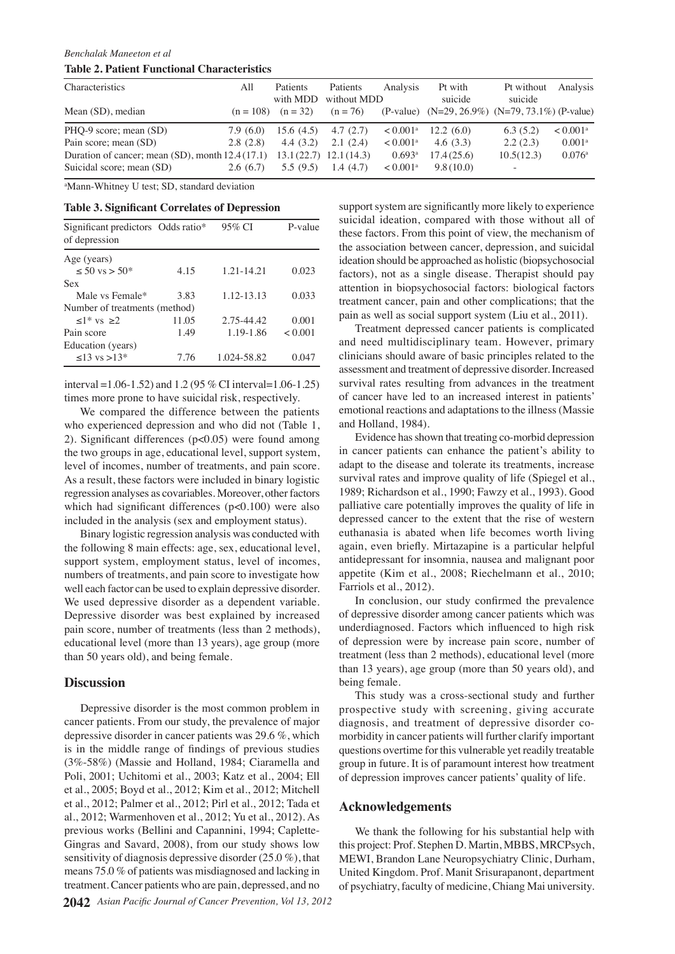# *Benchalak Maneeton et al*

# **Table 2. Patient Functional Characteristics**

| <b>Characteristics</b>                                                  | All       | Patients               | Patients    | Analysis               | Pt with                                         | Pt without               | Analysis               |
|-------------------------------------------------------------------------|-----------|------------------------|-------------|------------------------|-------------------------------------------------|--------------------------|------------------------|
|                                                                         |           | with MDD               | without MDD |                        | suicide                                         | suicide                  |                        |
| Mean (SD), median                                                       |           | $(n = 108)$ $(n = 32)$ | $(n = 76)$  |                        | (P-value) (N=29, 26.9%) (N=79, 73.1%) (P-value) |                          |                        |
| PHQ-9 score; mean (SD)                                                  | 7.9 (6.0) | 15.6(4.5)              | 4.7(2.7)    | $< 0.001^{\text{a}}$   | 12.2(6.0)                                       | 6.3(5.2)                 | $< 0.001$ <sup>a</sup> |
| Pain score; mean (SD)                                                   | 2.8(2.8)  | 4.4(3.2)               | 2.1(2.4)    | $< 0.001$ <sup>a</sup> | 4.6(3.3)                                        | 2.2(2.3)                 | $0.001^{\text{a}}$     |
| Duration of cancer; mean (SD), month $12.4(17.1)$ 13.1(22.7) 12.1(14.3) |           |                        |             | $0.693$ <sup>a</sup>   | 17.4(25.6)                                      | 10.5(12.3)               | 0.076a                 |
| Suicidal score; mean (SD)                                               | 2.6(6.7)  | 5.5(9.5)               | 1.4(4.7)    | $< 0.001^{\text{a}}$   | 9.8(10.0)                                       | $\overline{\phantom{a}}$ |                        |

a Mann-Whitney U test; SD, standard deviation

# **Table 3. Significant Correlates of Depression**

| Significant predictors Odds ratio*<br>of depression |       | 95% CI      | P-value |
|-----------------------------------------------------|-------|-------------|---------|
|                                                     |       |             |         |
| Age (years)                                         |       |             |         |
| $\leq 50$ vs $> 50^*$                               | 4.15  | 1.21-14.21  | 0.023   |
| Sex                                                 |       |             |         |
| Male vs Female*                                     | 3.83  | 1.12-13.13  | 0.03350 |
| Number of treatments (method)                       |       |             |         |
| $\langle 1^* \text{ vs } > 2 \rangle$               | 11.05 | 2.75-44.42  | 0.001   |
| Pain score                                          | 1.49  | 1.19-1.86   | < 0.001 |
| Education (years)                                   |       |             | 25      |
| $\leq$ 13 vs $>$ 13*                                | 7.76  | 1.024-58.82 | 0.047   |

interval =1.06-1.52) and 1.2 (95 % CI interval=1.06-1.25) times more prone to have suicidal risk, respectively.

We compared the difference between the patients who experienced depression and who did not (Table 1, 2). Significant differences (p<0.05) were found among the two groups in age, educational level, support system, level of incomes, number of treatments, and pain score. As a result, these factors were included in binary logistic regression analyses as covariables. Moreover, other factors which had significant differences (p<0.100) were also included in the analysis (sex and employment status).

Binary logistic regression analysis was conducted with the following 8 main effects: age, sex, educational level, support system, employment status, level of incomes, numbers of treatments, and pain score to investigate how well each factor can be used to explain depressive disorder. We used depressive disorder as a dependent variable. Depressive disorder was best explained by increased pain score, number of treatments (less than 2 methods), educational level (more than 13 years), age group (more than 50 years old), and being female.

## **Discussion**

Depressive disorder is the most common problem in cancer patients. From our study, the prevalence of major depressive disorder in cancer patients was 29.6 %, which is in the middle range of findings of previous studies (3%-58%) (Massie and Holland, 1984; Ciaramella and Poli, 2001; Uchitomi et al., 2003; Katz et al., 2004; Ell et al., 2005; Boyd et al., 2012; Kim et al., 2012; Mitchell et al., 2012; Palmer et al., 2012; Pirl et al., 2012; Tada et al., 2012; Warmenhoven et al., 2012; Yu et al., 2012). As previous works (Bellini and Capannini, 1994; Caplette-Gingras and Savard, 2008), from our study shows low sensitivity of diagnosis depressive disorder (25.0 %), that means 75.0 % of patients was misdiagnosed and lacking in treatment. Cancer patients who are pain, depressed, and no

25.0 and need multidisciplinary team. However, primary 50.0<sub>treatment cancer, pain and other complications; that the 30.0</sub> **75.0** the association between cancer, depression, and suicidal **30.0** 100. Cupport system are significantly more likely to experience  $\frac{1}{20.3}$  **6.3 10.1 10.1 10.1 10.1 10.1 10.1 10.1 10.1 10.1 10.1 10.1 10.1 10.1 10.1 10.1 10.1 10.1 10.1 10.1 10.1 10.1 10.1 10.1 10.1 10.1 10.1 10.1 10.1 10.1** factors) **56.3** as a **46.8 c** disease. Therapist should pay **38.0 31.3** clinicians should aware of basic principles related to the these factors. From this point of view, the mechanism of ideation should be approached as holistic (biopsychosocial attention in biopsychosocial factors: biological factors pain as well as social support system (Liu et al., 2011). Treatment depressed cancer patients is complicated

 $\theta$ f cancer have led to an increased interest in patients' Remission **25.3**<br> **23.1 25.3**<br> **23.1 25.3**<br> **23.1 25.3**<br> **23.1 25.3** survival rates resulting from advances in the treatment emotional reactions and adaptations to the illness (Massie and Holla $\bar{B}$ d, 1984). $\bar{E}$ 

Newly diagnosed without treatment Newly diagnosed with treatment Persistence or recurrence Evidence has shown that treating co-morbid depression in cancer patients can enhance the patient's ability to adapt to the disease and toleral its treatments, increase survival rates and in prove quality of life (Spiegel et al., 1989; Richardson etal., 1990; Fawzy et al., 1993). Good palliative  $\frac{1}{6}$  are potentially improves the quality of life in depressed  $\overline{\mathbb{E}}$  cancer to  $\overline{\mathbb{E}}$  the extent that the rise of western euthanasi $\widehat{\mathbf{s}}$  is abated when life becomes worth living again, even briefly. Mirtazapine is a particular helpful antidepressant for insomnia, nausea and malignant poor appetite (Kim et al., 2008; Riechelmann et al., 2010; Farriols et al., 2012).

In conclusion, our study confirmed the prevalence of depressive disorder among cancer patients which was underdiagnosed. Factors which influenced to high risk of depression were by increase pain score, number of treatment (less than 2 methods), educational level (more than 13 years), age group (more than 50 years old), and being female.

This study was a cross-sectional study and further prospective study with screening, giving accurate diagnosis, and treatment of depressive disorder comorbidity in cancer patients will further clarify important questions overtime for this vulnerable yet readily treatable group in future. It is of paramount interest how treatment of depression improves cancer patients' quality of life.

## **Acknowledgements**

We thank the following for his substantial help with this project: Prof. Stephen D. Martin, MBBS, MRCPsych, MEWI, Brandon Lane Neuropsychiatry Clinic, Durham, United Kingdom. Prof. Manit Srisurapanont, department of psychiatry, faculty of medicine, Chiang Mai university.